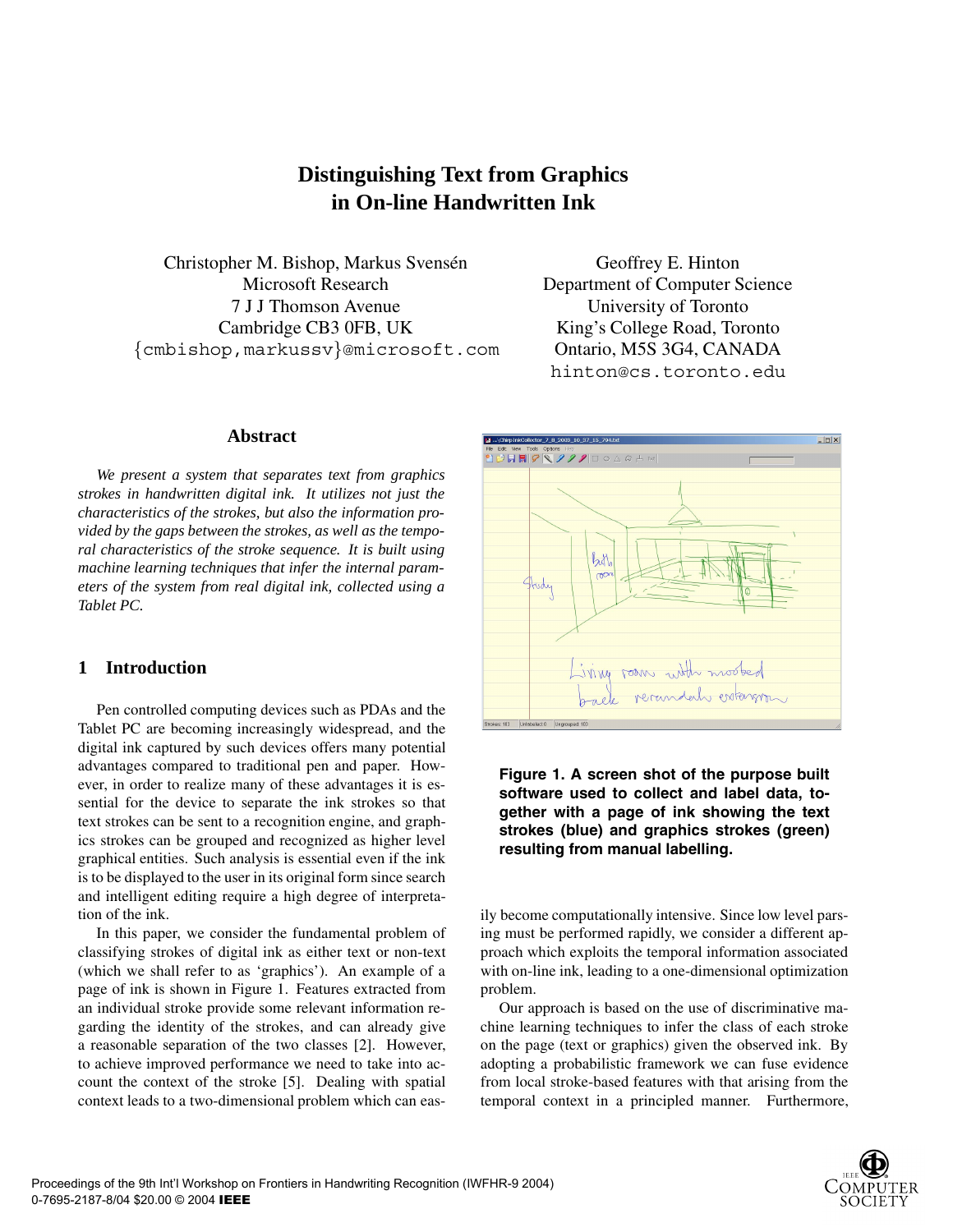# **Distinguishing Text from Graphics in On-line Handwritten Ink**

Christopher M. Bishop, Markus Svensén Microsoft Research 7 J J Thomson Avenue Cambridge CB3 0FB, UK {cmbishop,markussv}@microsoft.com

### **Abstract**

*We present a system that separates text from graphics strokes in handwritten digital ink. It utilizes not just the characteristics of the strokes, but also the information provided by the gaps between the strokes, as well as the temporal characteristics of the stroke sequence. It is built using machine learning techniques that infer the internal parameters of the system from real digital ink, collected using a Tablet PC.*

# **1 Introduction**

Pen controlled computing devices such as PDAs and the Tablet PC are becoming increasingly widespread, and the digital ink captured by such devices offers many potential advantages compared to traditional pen and paper. However, in order to realize many of these advantages it is essential for the device to separate the ink strokes so that text strokes can be sent to a recognition engine, and graphics strokes can be grouped and recognized as higher level graphical entities. Such analysis is essential even if the ink is to be displayed to the user in its original form since search and intelligent editing require a high degree of interpretation of the ink.

In this paper, we consider the fundamental problem of classifying strokes of digital ink as either text or non-text (which we shall refer to as 'graphics'). An example of a page of ink is shown in Figure 1. Features extracted from an individual stroke provide some relevant information regarding the identity of the strokes, and can already give a reasonable separation of the two classes [2]. However, to achieve improved performance we need to take into account the context of the stroke [5]. Dealing with spatial context leads to a two-dimensional problem which can eas-

Geoffrey E. Hinton Department of Computer Science University of Toronto King's College Road, Toronto Ontario, M5S 3G4, CANADA hinton@cs.toronto.edu



**Figure 1. A screen shot of the purpose built software used to collect and label data, together with a page of ink showing the text strokes (blue) and graphics strokes (green) resulting from manual labelling.**

ily become computationally intensive. Since low level parsing must be performed rapidly, we consider a different approach which exploits the temporal information associated with on-line ink, leading to a one-dimensional optimization problem.

Our approach is based on the use of discriminative machine learning techniques to infer the class of each stroke on the page (text or graphics) given the observed ink. By adopting a probabilistic framework we can fuse evidence from local stroke-based features with that arising from the temporal context in a principled manner. Furthermore,

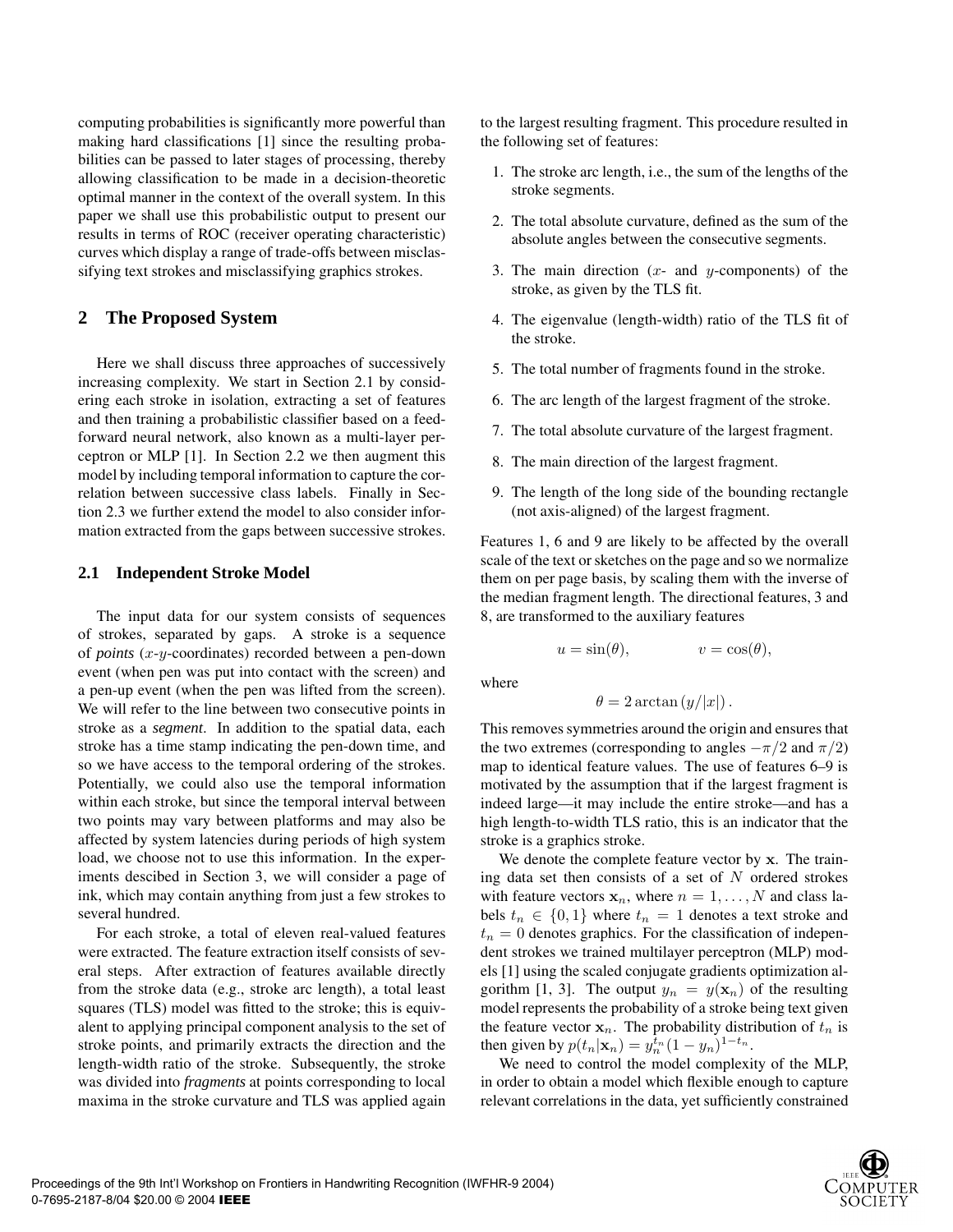computing probabilities is significantly more powerful than making hard classifications [1] since the resulting probabilities can be passed to later stages of processing, thereby allowing classification to be made in a decision-theoretic optimal manner in the context of the overall system. In this paper we shall use this probabilistic output to present our results in terms of ROC (receiver operating characteristic) curves which display a range of trade-offs between misclassifying text strokes and misclassifying graphics strokes.

## **2 The Proposed System**

Here we shall discuss three approaches of successively increasing complexity. We start in Section 2.1 by considering each stroke in isolation, extracting a set of features and then training a probabilistic classifier based on a feedforward neural network, also known as a multi-layer perceptron or MLP [1]. In Section 2.2 we then augment this model by including temporal information to capture the correlation between successive class labels. Finally in Section 2.3 we further extend the model to also consider information extracted from the gaps between successive strokes.

#### **2.1 Independent Stroke Model**

The input data for our system consists of sequences of strokes, separated by gaps. A stroke is a sequence of *points* (x-y-coordinates) recorded between a pen-down event (when pen was put into contact with the screen) and a pen-up event (when the pen was lifted from the screen). We will refer to the line between two consecutive points in stroke as a *segment*. In addition to the spatial data, each stroke has a time stamp indicating the pen-down time, and so we have access to the temporal ordering of the strokes. Potentially, we could also use the temporal information within each stroke, but since the temporal interval between two points may vary between platforms and may also be affected by system latencies during periods of high system load, we choose not to use this information. In the experiments descibed in Section 3, we will consider a page of ink, which may contain anything from just a few strokes to several hundred.

For each stroke, a total of eleven real-valued features were extracted. The feature extraction itself consists of several steps. After extraction of features available directly from the stroke data (e.g., stroke arc length), a total least squares (TLS) model was fitted to the stroke; this is equivalent to applying principal component analysis to the set of stroke points, and primarily extracts the direction and the length-width ratio of the stroke. Subsequently, the stroke was divided into *fragments* at points corresponding to local maxima in the stroke curvature and TLS was applied again

to the largest resulting fragment. This procedure resulted in the following set of features:

- 1. The stroke arc length, i.e., the sum of the lengths of the stroke segments.
- 2. The total absolute curvature, defined as the sum of the absolute angles between the consecutive segments.
- 3. The main direction  $(x-$  and y-components) of the stroke, as given by the TLS fit.
- 4. The eigenvalue (length-width) ratio of the TLS fit of the stroke.
- 5. The total number of fragments found in the stroke.
- 6. The arc length of the largest fragment of the stroke.
- 7. The total absolute curvature of the largest fragment.
- 8. The main direction of the largest fragment.
- 9. The length of the long side of the bounding rectangle (not axis-aligned) of the largest fragment.

Features 1, 6 and 9 are likely to be affected by the overall scale of the text or sketches on the page and so we normalize them on per page basis, by scaling them with the inverse of the median fragment length. The directional features, 3 and 8, are transformed to the auxiliary features

$$
u = \sin(\theta), \qquad \qquad v = \cos(\theta),
$$

where

$$
\theta = 2 \arctan(y/|x|).
$$

This removes symmetries around the origin and ensures that the two extremes (corresponding to angles  $-\pi/2$  and  $\pi/2$ ) map to identical feature values. The use of features 6–9 is motivated by the assumption that if the largest fragment is indeed large—it may include the entire stroke—and has a high length-to-width TLS ratio, this is an indicator that the stroke is a graphics stroke.

We denote the complete feature vector by **x**. The training data set then consists of a set of  $N$  ordered strokes with feature vectors  $x_n$ , where  $n = 1, \ldots, N$  and class labels  $t_n \in \{0, 1\}$  where  $t_n = 1$  denotes a text stroke and  $t_n = 0$  denotes graphics. For the classification of independent strokes we trained multilayer perceptron (MLP) models [1] using the scaled conjugate gradients optimization algorithm [1, 3]. The output  $y_n = y(\mathbf{x}_n)$  of the resulting model represents the probability of a stroke being text given the feature vector  $x_n$ . The probability distribution of  $t_n$  is then given by  $p(t_n|\mathbf{x}_n) = y_n^{t_n} (1 - y_n)^{1 - t_n}$ .<br>We need to control the model complexi

We need to control the model complexity of the MLP, in order to obtain a model which flexible enough to capture relevant correlations in the data, yet sufficiently constrained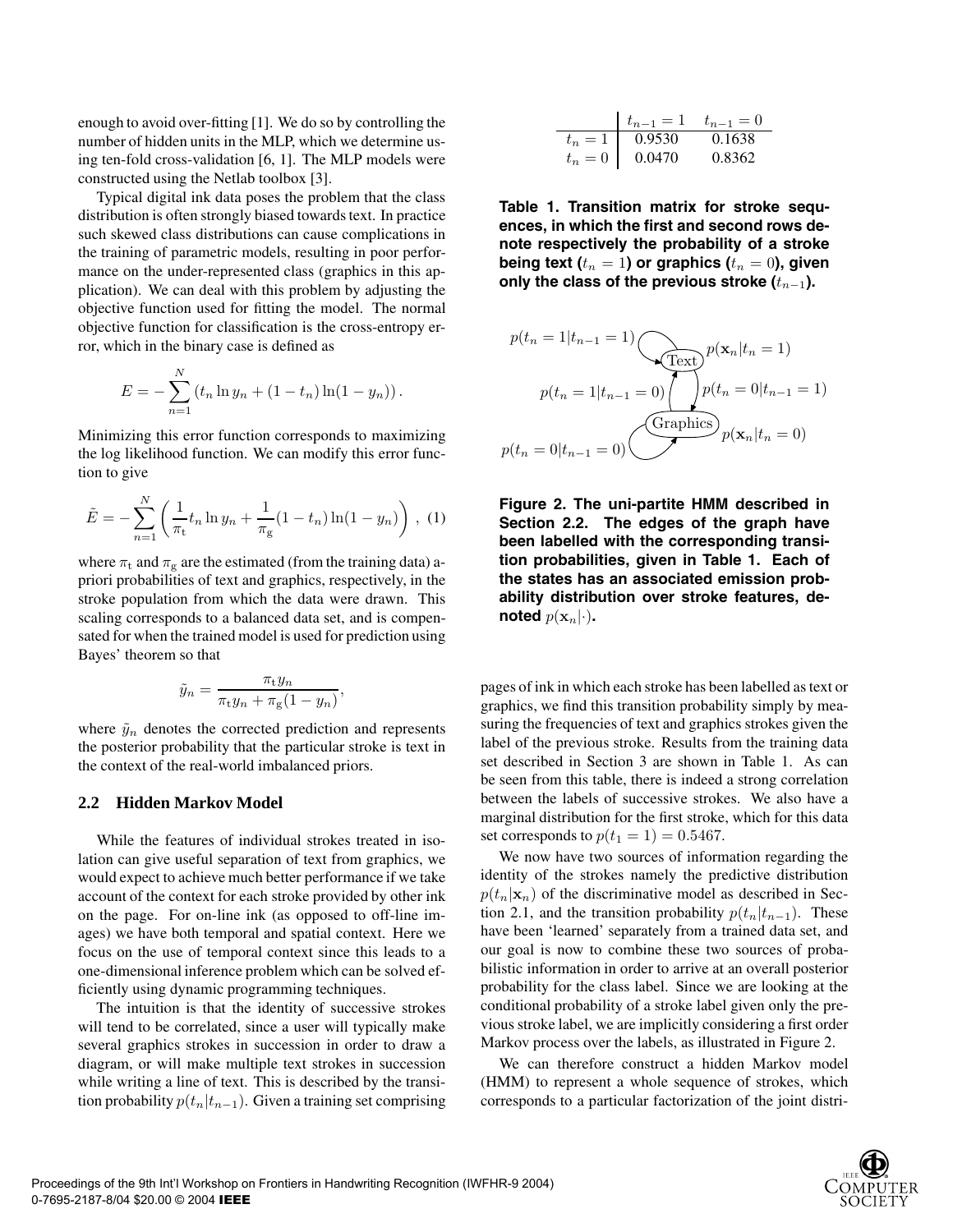enough to avoid over-fitting [1]. We do so by controlling the number of hidden units in the MLP, which we determine using ten-fold cross-validation [6, 1]. The MLP models were constructed using the Netlab toolbox [3].

Typical digital ink data poses the problem that the class distribution is often strongly biased towards text. In practice such skewed class distributions can cause complications in the training of parametric models, resulting in poor performance on the under-represented class (graphics in this application). We can deal with this problem by adjusting the objective function used for fitting the model. The normal objective function for classification is the cross-entropy error, which in the binary case is defined as

$$
E = -\sum_{n=1}^{N} (t_n \ln y_n + (1 - t_n) \ln(1 - y_n)).
$$

Minimizing this error function corresponds to maximizing the log likelihood function. We can modify this error function to give

$$
\tilde{E} = -\sum_{n=1}^{N} \left( \frac{1}{\pi_{\text{t}}} t_n \ln y_n + \frac{1}{\pi_{\text{g}}} (1 - t_n) \ln(1 - y_n) \right), \tag{1}
$$

where  $\pi_t$  and  $\pi_g$  are the estimated (from the training data) apriori probabilities of text and graphics, respectively, in the stroke population from which the data were drawn. This scaling corresponds to a balanced data set, and is compensated for when the trained model is used for prediction using Bayes' theorem so that

$$
\tilde{y}_n = \frac{\pi_{\rm t} y_n}{\pi_{\rm t} y_n + \pi_{\rm g} (1 - y_n)},
$$

where  $\tilde{y}_n$  denotes the corrected prediction and represents the posterior probability that the particular stroke is text in the context of the real-world imbalanced priors.

#### **2.2 Hidden Markov Model**

While the features of individual strokes treated in isolation can give useful separation of text from graphics, we would expect to achieve much better performance if we take account of the context for each stroke provided by other ink on the page. For on-line ink (as opposed to off-line images) we have both temporal and spatial context. Here we focus on the use of temporal context since this leads to a one-dimensional inference problem which can be solved efficiently using dynamic programming techniques.

The intuition is that the identity of successive strokes will tend to be correlated, since a user will typically make several graphics strokes in succession in order to draw a diagram, or will make multiple text strokes in succession while writing a line of text. This is described by the transition probability  $p(t_n|t_{n-1})$ . Given a training set comprising

|         | $t_{n-1} = 1$ $t_{n-1} = 0$ |        |
|---------|-----------------------------|--------|
| $t_n=1$ | 0.9530                      | 0.1638 |
| $t_n=0$ | 0.0470                      | 0.8362 |
|         |                             |        |

**Table 1. Transition matrix for stroke sequences, in which the first and second rows denote respectively the probability of a stroke being text (** $t_n = 1$ ) or graphics ( $t_n = 0$ ), given **only the class of the previous stroke (**t*n−*1**).**

$$
p(t_n = 1 | t_{n-1} = 1)
$$
\n
$$
p(\mathbf{x}_n | t_n = 1)
$$
\n
$$
p(t_n = 1 | t_{n-1} = 0)
$$
\n
$$
p(t_n = 0 | t_{n-1} = 0)
$$
\n
$$
p(\mathbf{x}_n | t_n = 0)
$$
\n
$$
p(\mathbf{x}_n | t_n = 0)
$$



pages of ink in which each stroke has been labelled as text or graphics, we find this transition probability simply by measuring the frequencies of text and graphics strokes given the label of the previous stroke. Results from the training data set described in Section 3 are shown in Table 1. As can be seen from this table, there is indeed a strong correlation between the labels of successive strokes. We also have a marginal distribution for the first stroke, which for this data set corresponds to  $p(t_1 = 1) = 0.5467$ .

We now have two sources of information regarding the identity of the strokes namely the predictive distribution  $p(t_n|\mathbf{x}_n)$  of the discriminative model as described in Section 2.1, and the transition probability  $p(t_n|t_{n-1})$ . These have been 'learned' separately from a trained data set, and our goal is now to combine these two sources of probabilistic information in order to arrive at an overall posterior probability for the class label. Since we are looking at the conditional probability of a stroke label given only the previous stroke label, we are implicitly considering a first order Markov process over the labels, as illustrated in Figure 2.

We can therefore construct a hidden Markov model (HMM) to represent a whole sequence of strokes, which corresponds to a particular factorization of the joint distri-

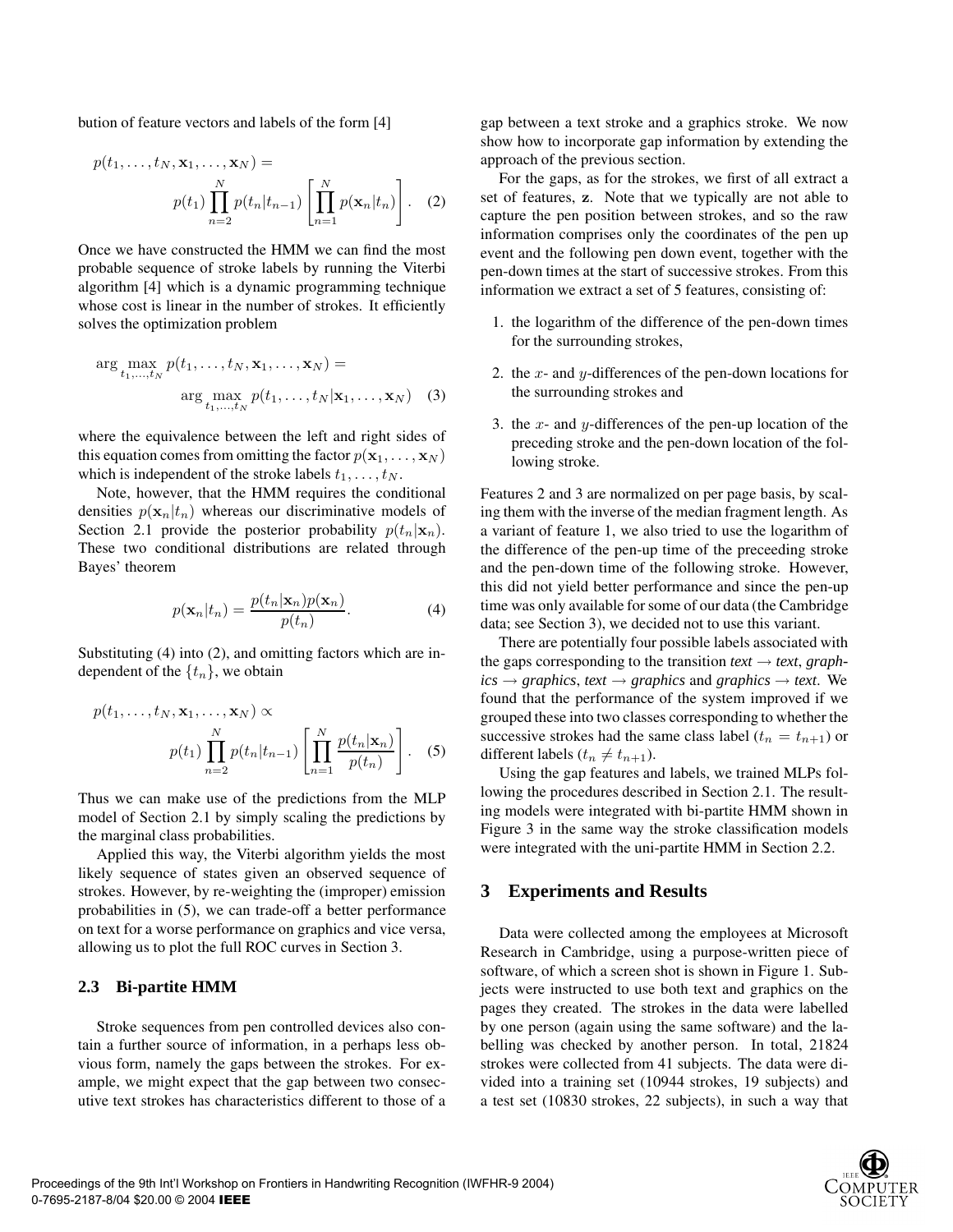bution of feature vectors and labels of the form [4]

$$
p(t_1, \ldots, t_N, \mathbf{x}_1, \ldots, \mathbf{x}_N) =
$$

$$
p(t_1) \prod_{n=2}^N p(t_n | t_{n-1}) \left[ \prod_{n=1}^N p(\mathbf{x}_n | t_n) \right].
$$
 (2)

Once we have constructed the HMM we can find the most probable sequence of stroke labels by running the Viterbi algorithm [4] which is a dynamic programming technique whose cost is linear in the number of strokes. It efficiently solves the optimization problem

$$
\arg\max_{t_1,\ldots,t_N} p(t_1,\ldots,t_N,\mathbf{x}_1,\ldots,\mathbf{x}_N) =
$$

$$
\arg\max_{t_1,\ldots,t_N} p(t_1,\ldots,t_N|\mathbf{x}_1,\ldots,\mathbf{x}_N) \quad (3)
$$

where the equivalence between the left and right sides of this equation comes from omitting the factor  $p(\mathbf{x}_1, \dots, \mathbf{x}_N)$ which is independent of the stroke labels  $t_1, \ldots, t_N$ .

Note, however, that the HMM requires the conditional densities  $p(\mathbf{x}_n|t_n)$  whereas our discriminative models of Section 2.1 provide the posterior probability  $p(t_n|\mathbf{x}_n)$ . These two conditional distributions are related through Bayes' theorem

$$
p(\mathbf{x}_n|t_n) = \frac{p(t_n|\mathbf{x}_n)p(\mathbf{x}_n)}{p(t_n)}.
$$
 (4)

Substituting (4) into (2), and omitting factors which are independent of the  $\{t_n\}$ , we obtain

$$
p(t_1, \ldots, t_N, \mathbf{x}_1, \ldots, \mathbf{x}_N) \propto
$$

$$
p(t_1) \prod_{n=2}^N p(t_n | t_{n-1}) \left[ \prod_{n=1}^N \frac{p(t_n | \mathbf{x}_n)}{p(t_n)} \right].
$$
 (5)

Thus we can make use of the predictions from the MLP model of Section 2.1 by simply scaling the predictions by the marginal class probabilities.

Applied this way, the Viterbi algorithm yields the most likely sequence of states given an observed sequence of strokes. However, by re-weighting the (improper) emission probabilities in (5), we can trade-off a better performance on text for a worse performance on graphics and vice versa, allowing us to plot the full ROC curves in Section 3.

#### **2.3 Bi-partite HMM**

Stroke sequences from pen controlled devices also contain a further source of information, in a perhaps less obvious form, namely the gaps between the strokes. For example, we might expect that the gap between two consecutive text strokes has characteristics different to those of a gap between a text stroke and a graphics stroke. We now show how to incorporate gap information by extending the approach of the previous section.

For the gaps, as for the strokes, we first of all extract a set of features, **z**. Note that we typically are not able to capture the pen position between strokes, and so the raw information comprises only the coordinates of the pen up event and the following pen down event, together with the pen-down times at the start of successive strokes. From this information we extract a set of 5 features, consisting of:

- 1. the logarithm of the difference of the pen-down times for the surrounding strokes,
- 2. the x- and y-differences of the pen-down locations for the surrounding strokes and
- 3. the  $x$  and  $y$ -differences of the pen-up location of the preceding stroke and the pen-down location of the following stroke.

Features 2 and 3 are normalized on per page basis, by scaling them with the inverse of the median fragment length. As a variant of feature 1, we also tried to use the logarithm of the difference of the pen-up time of the preceeding stroke and the pen-down time of the following stroke. However, this did not yield better performance and since the pen-up time was only available for some of our data (the Cambridge data; see Section 3), we decided not to use this variant.

There are potentially four possible labels associated with the gaps corresponding to the transition  $text \leftrightarrow text$ , graph $ics \rightarrow graphics, text \rightarrow graphics$  and *graphics*  $\rightarrow text$ . We found that the performance of the system improved if we grouped these into two classes corresponding to whether the successive strokes had the same class label ( $t_n = t_{n+1}$ ) or different labels  $(t_n \neq t_{n+1})$ .

Using the gap features and labels, we trained MLPs following the procedures described in Section 2.1. The resulting models were integrated with bi-partite HMM shown in Figure 3 in the same way the stroke classification models were integrated with the uni-partite HMM in Section 2.2.

#### **3 Experiments and Results**

Data were collected among the employees at Microsoft Research in Cambridge, using a purpose-written piece of software, of which a screen shot is shown in Figure 1. Subjects were instructed to use both text and graphics on the pages they created. The strokes in the data were labelled by one person (again using the same software) and the labelling was checked by another person. In total, 21824 strokes were collected from 41 subjects. The data were divided into a training set (10944 strokes, 19 subjects) and a test set (10830 strokes, 22 subjects), in such a way that

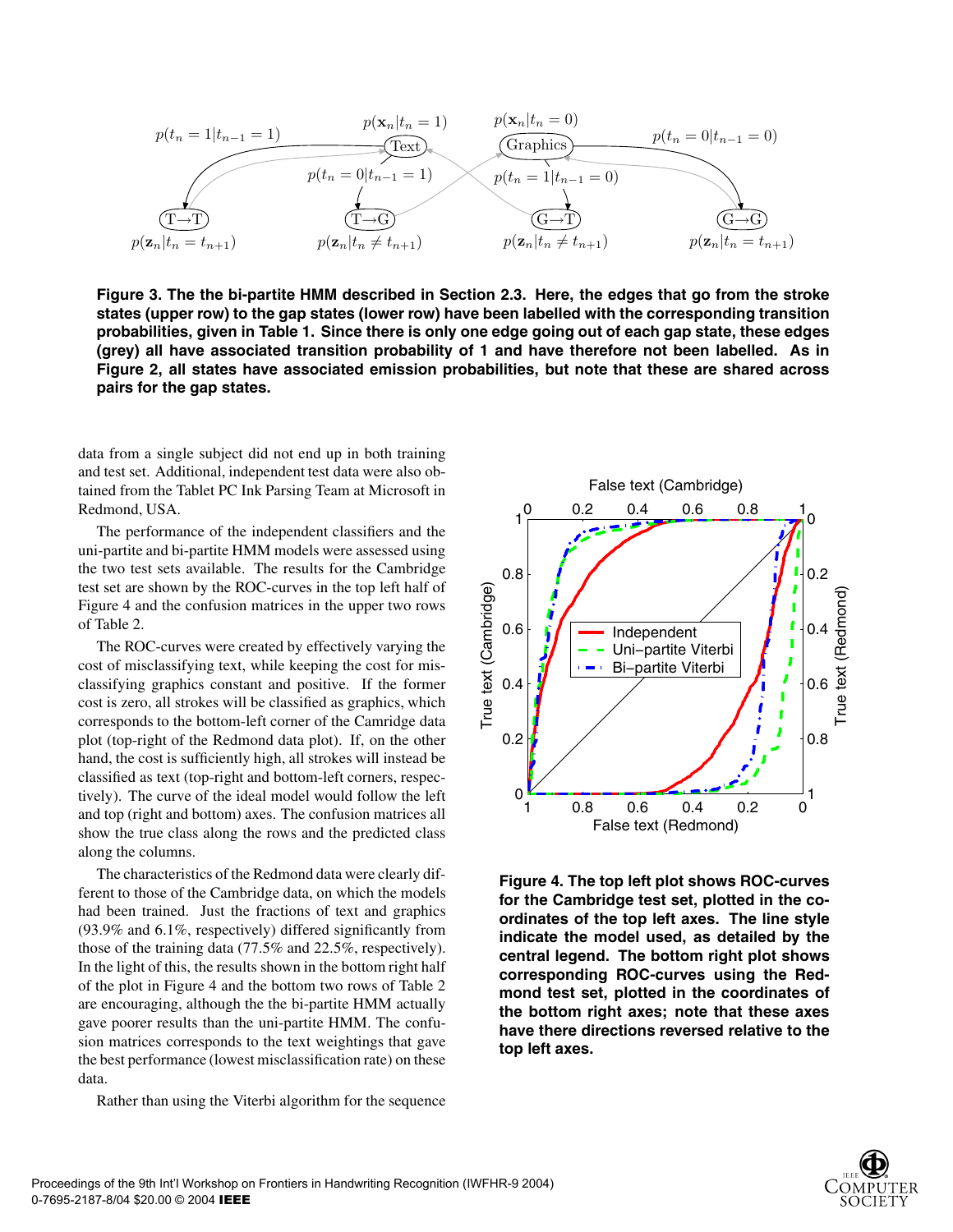

**Figure 3. The the bi-partite HMM described in Section 2.3. Here, the edges that go from the stroke states (upper row) to the gap states (lower row) have been labelled with the corresponding transition probabilities, given in Table 1. Since there is only one edge going out of each gap state, these edges (grey) all have associated transition probability of 1 and have therefore not been labelled. As in Figure 2, all states have associated emission probabilities, but note that these are shared across pairs for the gap states.**

data from a single subject did not end up in both training and test set. Additional, independent test data were also obtained from the Tablet PC Ink Parsing Team at Microsoft in Redmond, USA.

The performance of the independent classifiers and the uni-partite and bi-partite HMM models were assessed using the two test sets available. The results for the Cambridge test set are shown by the ROC-curves in the top left half of Figure 4 and the confusion matrices in the upper two rows of Table 2.

The ROC-curves were created by effectively varying the cost of misclassifying text, while keeping the cost for misclassifying graphics constant and positive. If the former cost is zero, all strokes will be classified as graphics, which corresponds to the bottom-left corner of the Camridge data plot (top-right of the Redmond data plot). If, on the other hand, the cost is sufficiently high, all strokes will instead be classified as text (top-right and bottom-left corners, respectively). The curve of the ideal model would follow the left and top (right and bottom) axes. The confusion matrices all show the true class along the rows and the predicted class along the columns.

The characteristics of the Redmond data were clearly different to those of the Cambridge data, on which the models had been trained. Just the fractions of text and graphics (93.9% and 6.1%, respectively) differed significantly from those of the training data (77.5% and 22.5%, respectively). In the light of this, the results shown in the bottom right half of the plot in Figure 4 and the bottom two rows of Table 2 are encouraging, although the the bi-partite HMM actually gave poorer results than the uni-partite HMM. The confusion matrices corresponds to the text weightings that gave the best performance (lowest misclassification rate) on these data.

Rather than using the Viterbi algorithm for the sequence



**Figure 4. The top left plot shows ROC-curves for the Cambridge test set, plotted in the coordinates of the top left axes. The line style indicate the model used, as detailed by the central legend. The bottom right plot shows corresponding ROC-curves using the Redmond test set, plotted in the coordinates of the bottom right axes; note that these axes have there directions reversed relative to the top left axes.**